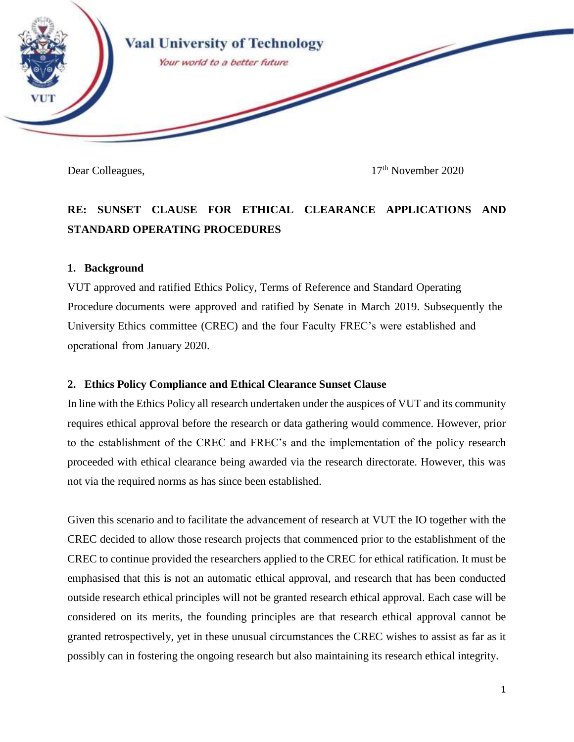

Dear Colleagues, 17<sup>th</sup> November 2020

# **RE: SUNSET CLAUSE FOR ETHICAL CLEARANCE APPLICATIONS AND STANDARD OPERATING PROCEDURES**

### **1. Background**

VUT approved and ratified Ethics Policy, Terms of Reference and Standard Operating Procedure documents were approved and ratified by Senate in March 2019. Subsequently the University Ethics committee (CREC) and the four Faculty FREC's were established and operational from January 2020.

## **2. Ethics Policy Compliance and Ethical Clearance Sunset Clause**

In line with the Ethics Policy all research undertaken under the auspices of VUT and its community requires ethical approval before the research or data gathering would commence. However, prior to the establishment of the CREC and FREC's and the implementation of the policy research proceeded with ethical clearance being awarded via the research directorate. However, this was not via the required norms as has since been established.

Given this scenario and to facilitate the advancement of research at VUT the IO together with the CREC decided to allow those research projects that commenced prior to the establishment of the CREC to continue provided the researchers applied to the CREC for ethical ratification. It must be emphasised that this is not an automatic ethical approval, and research that has been conducted outside research ethical principles will not be granted research ethical approval. Each case will be considered on its merits, the founding principles are that research ethical approval cannot be granted retrospectively, yet in these unusual circumstances the CREC wishes to assist as far as it possibly can in fostering the ongoing research but also maintaining its research ethical integrity.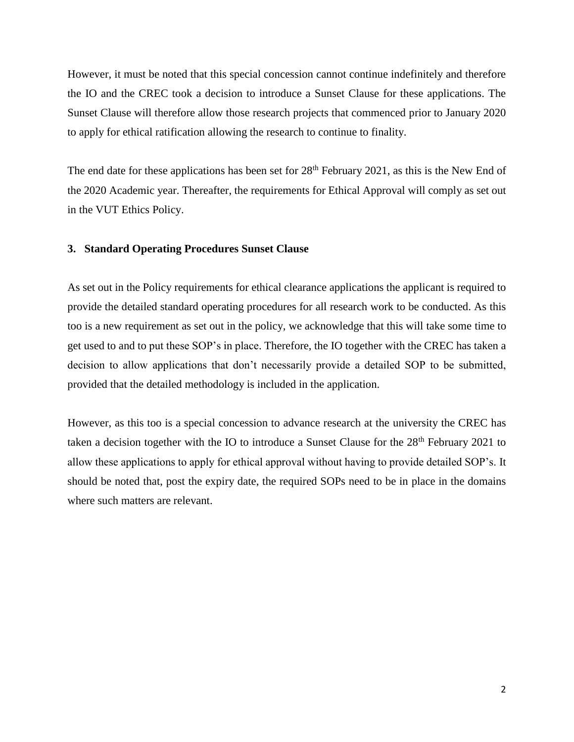However, it must be noted that this special concession cannot continue indefinitely and therefore the IO and the CREC took a decision to introduce a Sunset Clause for these applications. The Sunset Clause will therefore allow those research projects that commenced prior to January 2020 to apply for ethical ratification allowing the research to continue to finality.

The end date for these applications has been set for  $28<sup>th</sup>$  February 2021, as this is the New End of the 2020 Academic year. Thereafter, the requirements for Ethical Approval will comply as set out in the VUT Ethics Policy.

#### **3. Standard Operating Procedures Sunset Clause**

As set out in the Policy requirements for ethical clearance applications the applicant is required to provide the detailed standard operating procedures for all research work to be conducted. As this too is a new requirement as set out in the policy, we acknowledge that this will take some time to get used to and to put these SOP's in place. Therefore, the IO together with the CREC has taken a decision to allow applications that don't necessarily provide a detailed SOP to be submitted, provided that the detailed methodology is included in the application.

However, as this too is a special concession to advance research at the university the CREC has taken a decision together with the IO to introduce a Sunset Clause for the 28<sup>th</sup> February 2021 to allow these applications to apply for ethical approval without having to provide detailed SOP's. It should be noted that, post the expiry date, the required SOPs need to be in place in the domains where such matters are relevant.